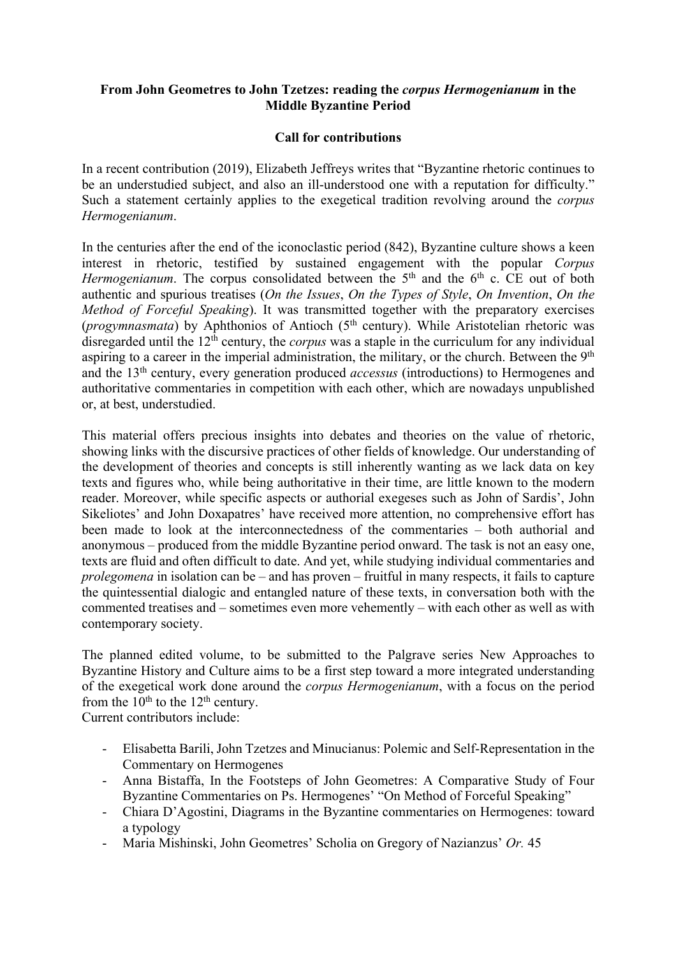## **From John Geometres to John Tzetzes: reading the** *corpus Hermogenianum* **in the Middle Byzantine Period**

## **Call for contributions**

In a recent contribution (2019), Elizabeth Jeffreys writes that "Byzantine rhetoric continues to be an understudied subject, and also an ill-understood one with a reputation for difficulty." Such a statement certainly applies to the exegetical tradition revolving around the *corpus Hermogenianum*.

In the centuries after the end of the iconoclastic period (842), Byzantine culture shows a keen interest in rhetoric, testified by sustained engagement with the popular *Corpus Hermogenianum*. The corpus consolidated between the  $5<sup>th</sup>$  and the  $6<sup>th</sup>$  c. CE out of both authentic and spurious treatises (*On the Issues*, *On the Types of Style*, *On Invention*, *On the Method of Forceful Speaking*). It was transmitted together with the preparatory exercises (*progymnasmata*) by Aphthonios of Antioch (5<sup>th</sup> century). While Aristotelian rhetoric was disregarded until the 12<sup>th</sup> century, the *corpus* was a staple in the curriculum for any individual aspiring to a career in the imperial administration, the military, or the church. Between the 9<sup>th</sup> and the 13th century, every generation produced *accessus* (introductions) to Hermogenes and authoritative commentaries in competition with each other, which are nowadays unpublished or, at best, understudied.

This material offers precious insights into debates and theories on the value of rhetoric, showing links with the discursive practices of other fields of knowledge. Our understanding of the development of theories and concepts is still inherently wanting as we lack data on key texts and figures who, while being authoritative in their time, are little known to the modern reader. Moreover, while specific aspects or authorial exegeses such as John of Sardis', John Sikeliotes' and John Doxapatres' have received more attention, no comprehensive effort has been made to look at the interconnectedness of the commentaries – both authorial and anonymous – produced from the middle Byzantine period onward. The task is not an easy one, texts are fluid and often difficult to date. And yet, while studying individual commentaries and *prolegomena* in isolation can be – and has proven – fruitful in many respects, it fails to capture the quintessential dialogic and entangled nature of these texts, in conversation both with the commented treatises and – sometimes even more vehemently – with each other as well as with contemporary society.

The planned edited volume, to be submitted to the Palgrave series New Approaches to Byzantine History and Culture aims to be a first step toward a more integrated understanding of the exegetical work done around the *corpus Hermogenianum*, with a focus on the period from the  $10^{th}$  to the  $12^{th}$  century.

Current contributors include:

- Elisabetta Barili, John Tzetzes and Minucianus: Polemic and Self-Representation in the Commentary on Hermogenes
- Anna Bistaffa, In the Footsteps of John Geometres: A Comparative Study of Four Byzantine Commentaries on Ps. Hermogenes' "On Method of Forceful Speaking"
- Chiara D'Agostini, Diagrams in the Byzantine commentaries on Hermogenes: toward a typology
- Maria Mishinski, John Geometres' Scholia on Gregory of Nazianzus' *Or.* 45